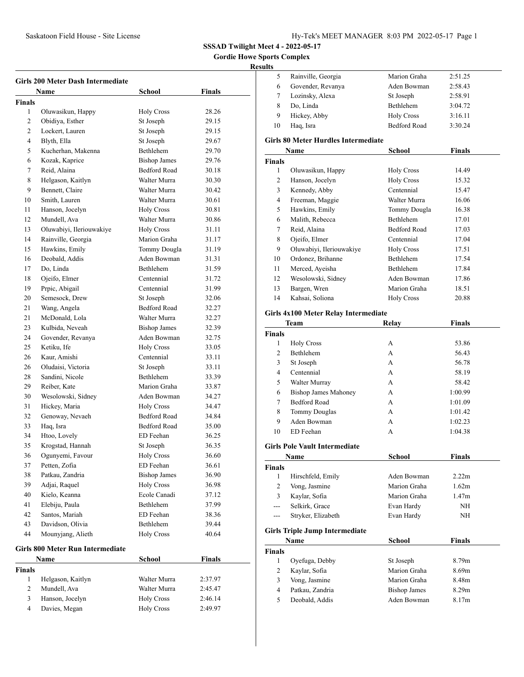**Gordie Howe Sports Complex**

# **Resul**

| <b>Girls 200 Meter Dash Intermediate</b> |                                         |                     |         |  |
|------------------------------------------|-----------------------------------------|---------------------|---------|--|
|                                          | Name                                    | School              | Finals  |  |
| <b>Finals</b>                            |                                         |                     |         |  |
| 1                                        | Oluwasikun, Happy                       | <b>Holy Cross</b>   | 28.26   |  |
| 2                                        | Obidiya, Esther                         | St Joseph           | 29.15   |  |
| 2                                        | Lockert, Lauren                         | St Joseph           | 29.15   |  |
| 4                                        | Blyth, Ella                             | St Joseph           | 29.67   |  |
| 5                                        | Kucherhan, Makenna                      | Bethlehem           | 29.70   |  |
| 6                                        | Kozak, Kaprice                          | <b>Bishop James</b> | 29.76   |  |
| 7                                        | Reid, Alaina                            | <b>Bedford Road</b> | 30.18   |  |
| 8                                        | Helgason, Kaitlyn                       | Walter Murra        | 30.30   |  |
| 9                                        | Bennett, Claire                         | Walter Murra        | 30.42   |  |
| 10                                       | Smith, Lauren                           | Walter Murra        | 30.61   |  |
| 11                                       | Hanson, Jocelyn                         | <b>Holy Cross</b>   | 30.81   |  |
| 12                                       | Mundell, Ava                            | Walter Murra        | 30.86   |  |
| 13                                       | Oluwabiyi, Ileriouwakiye                | <b>Holy Cross</b>   | 31.11   |  |
| 14                                       | Rainville, Georgia                      | Marion Graha        | 31.17   |  |
| 15                                       | Hawkins, Emily                          | Tommy Dougla        | 31.19   |  |
| 16                                       | Deobald, Addis                          | Aden Bowman         | 31.31   |  |
| 17                                       | Do, Linda                               | <b>Bethlehem</b>    | 31.59   |  |
| 18                                       | Ojeifo, Elmer                           | Centennial          | 31.72   |  |
| 19                                       | Prpic, Abigail                          | Centennial          | 31.99   |  |
| 20                                       | Semesock, Drew                          | St Joseph           | 32.06   |  |
| 21                                       | Wang, Angela                            | <b>Bedford Road</b> | 32.27   |  |
| 21                                       | McDonald, Lola                          | Walter Murra        | 32.27   |  |
| 23                                       | Kulbida, Neveah                         | <b>Bishop James</b> | 32.39   |  |
| 24                                       | Govender, Revanya                       | Aden Bowman         | 32.75   |  |
| 25                                       | Ketiku, Ife                             | <b>Holy Cross</b>   | 33.05   |  |
| 26                                       | Kaur, Amishi                            | Centennial          | 33.11   |  |
| 26                                       | Oludaisi, Victoria                      | St Joseph           | 33.11   |  |
| 28                                       | Sandini, Nicole                         | Bethlehem           | 33.39   |  |
| 29                                       | Reiber, Kate                            | Marion Graha        | 33.87   |  |
| 30                                       | Wesolowski, Sidney                      | Aden Bowman         | 34.27   |  |
| 31                                       | Hickey, Maria                           | <b>Holy Cross</b>   | 34.47   |  |
| 32                                       | Genoway, Nevaeh                         | <b>Bedford Road</b> | 34.84   |  |
| 33                                       | Haq, Isra                               | <b>Bedford Road</b> | 35.00   |  |
| 34                                       | Htoo, Lovely                            | ED Feehan           | 36.25   |  |
| 35                                       | Krogstad, Hannah                        | St Joseph           | 36.35   |  |
| 36                                       | Ogunyemi, Favour                        | Holy Cross          | 36.60   |  |
| 37                                       | Petten, Zofia                           | ED Feehan           | 36.61   |  |
| 38                                       | Patkau, Zandria                         | <b>Bishop James</b> | 36.90   |  |
| 39                                       | Adjai, Raquel                           | <b>Holy Cross</b>   | 36.98   |  |
| 40                                       | Kielo, Keanna                           | Ecole Canadi        | 37.12   |  |
| 41                                       | Elebiju, Paula                          | Bethlehem           | 37.99   |  |
| 42                                       | Santos, Mariah                          | ED Feehan           | 38.36   |  |
| 43                                       | Davidson, Olivia                        | Bethlehem           | 39.44   |  |
| 44                                       | Mounyjang, Alieth                       | <b>Holy Cross</b>   | 40.64   |  |
|                                          | <b>Girls 800 Meter Run Intermediate</b> |                     |         |  |
|                                          | Name                                    | <b>School</b>       | Finals  |  |
| <b>Finals</b>                            |                                         |                     |         |  |
| 1                                        | Helgason, Kaitlyn                       | Walter Murra        | 2:37.97 |  |
| 2                                        | Mundell, Ava                            | Walter Murra        | 2:45.47 |  |
| 3                                        | Hanson, Jocelyn                         | <b>Holy Cross</b>   | 2:46.14 |  |
| 4                                        | Davies, Megan                           | <b>Holy Cross</b>   | 2:49.97 |  |
|                                          |                                         |                     |         |  |

| sults              |                                                    |                                    |                |
|--------------------|----------------------------------------------------|------------------------------------|----------------|
| 5                  | Rainville, Georgia                                 | Marion Graha                       | 2:51.25        |
| 6                  | Govender, Revanya                                  | Aden Bowman                        | 2:58.43        |
| 7                  | Lozinsky, Alexa                                    | St Joseph                          | 2:58.91        |
| 8                  | Do, Linda                                          | Bethlehem                          | 3:04.72        |
| 9                  | Hickey, Abby                                       | <b>Holy Cross</b>                  | 3:16.11        |
| 10                 | Haq, Isra                                          | <b>Bedford Road</b>                | 3:30.24        |
|                    | <b>Girls 80 Meter Hurdles Intermediate</b>         |                                    |                |
|                    | Name                                               | <b>School</b>                      | <b>Finals</b>  |
| <b>Finals</b>      |                                                    |                                    |                |
| 1                  | Oluwasikun, Happy                                  | <b>Holy Cross</b>                  | 14.49          |
| 2                  | Hanson, Jocelyn                                    | <b>Holy Cross</b>                  | 15.32          |
| 3                  | Kennedy, Abby                                      | Centennial                         | 15.47          |
| $\overline{4}$     | Freeman, Maggie                                    | Walter Murra                       | 16.06          |
| 5                  | Hawkins, Emily                                     | Tommy Dougla                       | 16.38          |
| 6                  | Malith, Rebecca                                    | Bethlehem                          | 17.01          |
| 7                  | Reid, Alaina                                       | <b>Bedford Road</b>                | 17.03          |
| 8                  | Ojeifo, Elmer                                      | Centennial                         | 17.04          |
| 9                  | Oluwabiyi, Ileriouwakiye                           | <b>Holy Cross</b>                  | 17.51          |
| 10                 | Ordonez, Brihanne                                  | Bethlehem                          | 17.54          |
| 11                 | Merced, Ayeisha                                    | Bethlehem                          | 17.84          |
| 12                 | Wesolowski, Sidney                                 | Aden Bowman                        | 17.86          |
| 13                 | Bargen, Wren                                       | Marion Graha                       | 18.51          |
| 14                 | Kahsai, Soliona                                    | <b>Holy Cross</b>                  | 20.88          |
|                    | Girls 4x100 Meter Relay Intermediate               |                                    |                |
|                    | Team                                               | Relay                              | <b>Finals</b>  |
| <b>Finals</b>      |                                                    |                                    |                |
| 1                  | <b>Holy Cross</b>                                  | A                                  | 53.86          |
| 2                  | Bethlehem                                          | А                                  | 56.43          |
|                    |                                                    | A                                  | 56.78          |
| 3                  | St Joseph                                          |                                    |                |
| 4                  | Centennial                                         | A                                  | 58.19          |
| 5                  | Walter Murray                                      | А                                  | 58.42          |
| 6                  |                                                    | A                                  | 1:00.99        |
| 7                  | <b>Bishop James Mahoney</b><br><b>Bedford Road</b> | A                                  | 1:01.09        |
| 8                  |                                                    | A                                  | 1:01.42        |
| 9                  | <b>Tommy Douglas</b><br>Aden Bowman                | A                                  | 1:02.23        |
| 10                 | ED Feehan                                          | A                                  | 1:04.38        |
|                    |                                                    |                                    |                |
|                    | <b>Girls Pole Vault Intermediate</b>               |                                    |                |
|                    | Name                                               | <b>School</b>                      | Finals         |
|                    |                                                    |                                    |                |
| 1                  | Hirschfeld, Emily                                  | Aden Bowman                        | 2.22m          |
| 2                  | Vong, Jasmine                                      | Marion Graha                       | 1.62m          |
| <b>Finals</b><br>3 | Kaylar, Sofia                                      | Marion Graha                       | 1.47m          |
| ---                | Selkirk, Grace                                     | Evan Hardy                         | NH             |
| ---                | Stryker, Elizabeth                                 | Evan Hardy                         | NΗ             |
|                    | <b>Girls Triple Jump Intermediate</b>              |                                    |                |
|                    | Name                                               | School                             | Finals         |
|                    |                                                    |                                    |                |
| $\mathbf{1}$       | Oyefuga, Debby                                     | St Joseph                          | 8.79m          |
| 2                  | Kaylar, Sofia                                      | Marion Graha                       | 8.69m          |
| <b>Finals</b><br>3 | Vong, Jasmine                                      | Marion Graha                       | 8.48m          |
| 4<br>5             | Patkau, Zandria<br>Deobald, Addis                  | <b>Bishop James</b><br>Aden Bowman | 8.29m<br>8.17m |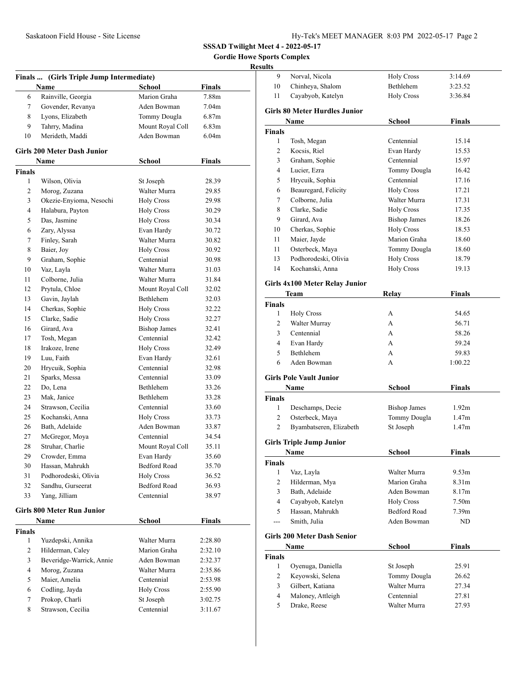**Gordie Howe Sports Complex**

# **Results**

|                | Finals  (Girls Triple Jump Intermediate) |                            |                   |  |
|----------------|------------------------------------------|----------------------------|-------------------|--|
|                | Name                                     | School                     | Finals            |  |
| 6              | Rainville, Georgia                       | Marion Graha               | 7.88m             |  |
| 7              | Govender, Revanya                        | Aden Bowman                | 7.04m             |  |
| 8              | Lyons, Elizabeth                         | Tommy Dougla               | 6.87 <sub>m</sub> |  |
| 9              | Tahrry, Madina                           | Mount Royal Coll           | 6.83 <sub>m</sub> |  |
| 10             | Merideth, Maddi                          | Aden Bowman                | 6.04 <sub>m</sub> |  |
|                | <b>Girls 200 Meter Dash Junior</b>       |                            |                   |  |
|                | Name                                     | School                     | Finals            |  |
| <b>Finals</b>  |                                          |                            |                   |  |
| 1              | Wilson, Olivia                           | St Joseph                  | 28.39             |  |
| 2              | Morog, Zuzana                            | Walter Murra               | 29.85             |  |
| 3              | Okezie-Enyioma, Nesochi                  | <b>Holy Cross</b>          | 29.98             |  |
| 4              | Halabura, Payton                         | <b>Holy Cross</b>          | 30.29             |  |
| 5              | Das, Jasmine                             | <b>Holy Cross</b>          | 30.34             |  |
| 6              | Zary, Alyssa                             | Evan Hardy                 | 30.72             |  |
| 7              | Finley, Sarah                            | Walter Murra               | 30.82             |  |
| 8              | Baier, Joy                               | <b>Holy Cross</b>          | 30.92             |  |
| 9              | Graham, Sophie                           | Centennial                 | 30.98             |  |
| 10             | Vaz, Layla                               | Walter Murra               | 31.03             |  |
| 11             | Colborne, Julia                          | Walter Murra               | 31.84             |  |
| 12             | Prytula, Chloe                           | Mount Royal Coll           | 32.02             |  |
| 13             | Gavin, Jaylah                            | <b>Bethlehem</b>           | 32.03             |  |
| 14             | Cherkas, Sophie                          | <b>Holy Cross</b>          | 32.22             |  |
| 15             | Clarke, Sadie                            | <b>Holy Cross</b>          | 32.27             |  |
| 16             | Girard, Ava                              | <b>Bishop James</b>        | 32.41             |  |
| 17             | Tosh, Megan                              | Centennial                 | 32.42             |  |
| 18             | Irakoze, Irene                           | <b>Holy Cross</b>          | 32.49             |  |
| 19             | Luu, Faith                               | Evan Hardy                 | 32.61             |  |
| 20             | Hrycuik, Sophia                          | Centennial                 | 32.98             |  |
| 21             | Sparks, Messa                            | Centennial                 | 33.09             |  |
| 22             | Do, Lena                                 | Bethlehem                  | 33.26             |  |
| 23             | Mak, Janice                              | Bethlehem                  | 33.28             |  |
| 24             | Strawson, Cecilia                        | Centennial                 | 33.60             |  |
| 25             | Kochanski, Anna                          | <b>Holy Cross</b>          | 33.73             |  |
| 26             | Bath, Adelaide                           | Aden Bowman                | 33.87             |  |
| 27             | McGregor, Moya                           | Centennial                 | 34.54             |  |
| 28             | Struhar, Charlie                         | Mount Royal Coll           | 35.11             |  |
|                | Crowder, Emma                            |                            |                   |  |
| 29<br>30       | Hassan, Mahrukh                          | Evan Hardy<br>Bedford Road | 35.60             |  |
|                |                                          |                            | 35.70             |  |
| 31             | Podhorodeski, Olivia                     | <b>Holy Cross</b>          | 36.52             |  |
| 32             | Sandhu, Gurseerat                        | <b>Bedford Road</b>        | 36.93             |  |
| 33             | Yang, Jilliam                            | Centennial                 | 38.97             |  |
|                | <b>Girls 800 Meter Run Junior</b>        |                            |                   |  |
|                | Name                                     | School                     | <b>Finals</b>     |  |
| <b>Finals</b>  |                                          |                            |                   |  |
| 1              | Yuzdepski, Annika                        | Walter Murra               | 2:28.80           |  |
| 2              | Hilderman, Caley                         | Marion Graha               | 2:32.10           |  |
| 3              | Beveridge-Warrick, Annie                 | Aden Bowman                | 2:32.37           |  |
| $\overline{4}$ | Morog, Zuzana                            | Walter Murra               | 2:35.86           |  |
| 5              | Maier, Amelia                            | Centennial                 | 2:53.98           |  |
| 6              | Codling, Jayda                           | <b>Holy Cross</b>          | 2:55.90           |  |
| 7              | Prokop, Charli                           | St Joseph                  | 3:02.75           |  |
| 8              | Strawson, Cecilia                        | Centennial                 | 3:11.67           |  |
|                |                                          |                            |                   |  |

| 9              | Norval. Nicola                        | <b>Holy Cross</b>   | 3:14.69           |  |
|----------------|---------------------------------------|---------------------|-------------------|--|
| 10             | Chinheya, Shalom                      | Bethlehem           | 3:23.52           |  |
| 11             | Cayabyob, Katelyn                     | <b>Holy Cross</b>   | 3:36.84           |  |
|                | <b>Girls 80 Meter Hurdles Junior</b>  |                     |                   |  |
|                | Name                                  | School              | <b>Finals</b>     |  |
| Finals         |                                       |                     |                   |  |
| 1              | Tosh, Megan                           | Centennial          | 15.14             |  |
| 2              | Kocsis, Riel                          | Evan Hardy          | 15.53             |  |
| 3              | Graham, Sophie                        | Centennial          | 15.97             |  |
| 4              | Lucier, Ezra                          | Tommy Dougla        | 16.42             |  |
| 5              | Hrycuik, Sophia                       | Centennial          | 17.16             |  |
| 6              | Beauregard, Felicity                  | <b>Holy Cross</b>   | 17.21             |  |
| 7              | Colborne, Julia                       | Walter Murra        | 17.31             |  |
| 8              | Clarke, Sadie                         | <b>Holy Cross</b>   | 17.35             |  |
| 9              | Girard, Ava                           | <b>Bishop James</b> | 18.26             |  |
| 10             | Cherkas, Sophie                       | <b>Holy Cross</b>   | 18.53             |  |
| 11             | Maier, Jayde                          | Marion Graha        | 18.60             |  |
| 11             | Osterbeck, Maya                       | Tommy Dougla        | 18.60             |  |
| 13             | Podhorodeski, Olivia                  | <b>Holy Cross</b>   | 18.79             |  |
| 14             | Kochanski, Anna                       | <b>Holy Cross</b>   | 19.13             |  |
|                |                                       |                     |                   |  |
|                | <b>Girls 4x100 Meter Relay Junior</b> |                     |                   |  |
|                | Team                                  | Relav               | Finals            |  |
| <b>Finals</b>  |                                       |                     |                   |  |
| 1              | <b>Holy Cross</b>                     | А                   | 54.65             |  |
| 2              | Walter Murray                         | A                   | 56.71             |  |
| 3              | Centennial                            | A                   | 58.26             |  |
| 4              | Evan Hardy                            | A                   | 59.24             |  |
| 5              | Bethlehem                             | А                   | 59.83             |  |
| 6              | Aden Bowman                           | А                   | 1:00.22           |  |
|                | <b>Girls Pole Vault Junior</b>        |                     |                   |  |
|                | <b>Name</b>                           | School              | Finals            |  |
| <b>Finals</b>  |                                       |                     |                   |  |
| 1              | Deschamps, Decie                      | <b>Bishop James</b> | 1.92 <sub>m</sub> |  |
| 2              | Osterbeck, Maya                       | Tommy Dougla        | 1.47 <sub>m</sub> |  |
| 2              | Byambatseren, Elizabeth               | St Joseph           | 1.47m             |  |
|                |                                       |                     |                   |  |
|                | <b>Girls Triple Jump Junior</b>       |                     |                   |  |
|                | Name                                  | <b>School</b>       | <b>Finals</b>     |  |
| <b>Finals</b>  |                                       |                     |                   |  |
| 1              | Vaz, Layla                            | Walter Murra        | 9.53m             |  |
| $\overline{2}$ | Hilderman, Mya                        | Marion Graha        | 8.31m             |  |
| 3              | Bath, Adelaide                        | Aden Bowman         | 8.17m             |  |
| $\overline{4}$ | Cayabyob, Katelyn                     | <b>Holy Cross</b>   | 7.50 <sub>m</sub> |  |
| 5              | Hassan, Mahrukh                       | Bedford Road        | 7.39 <sub>m</sub> |  |
| ---            | Smith, Julia                          | Aden Bowman         | ND                |  |
|                | <b>Girls 200 Meter Dash Senior</b>    |                     |                   |  |
|                | Name                                  | School              | <b>Finals</b>     |  |
| <b>Finals</b>  |                                       |                     |                   |  |
| 1              | Oyenuga, Daniella                     | St Joseph           | 25.91             |  |
| 2              | Keyowski, Selena                      | Tommy Dougla        | 26.62             |  |
| 3              | Gilbert, Katiana                      | Walter Murra        | 27.34             |  |
| $\overline{4}$ | Maloney, Attleigh                     | Centennial          | 27.81             |  |
| 5              | Drake, Reese                          | Walter Murra        | 27.93             |  |
|                |                                       |                     |                   |  |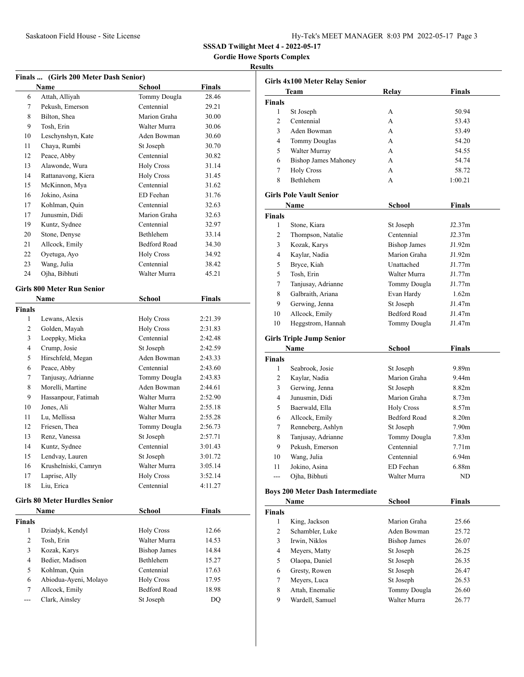**Gordie Howe Sports Complex**

### **Results**

| Finals  (Girls 200 Meter Dash Senior) |                                      |                     |               |  |
|---------------------------------------|--------------------------------------|---------------------|---------------|--|
|                                       | Name                                 | School              | Finals        |  |
| 6                                     | Attah, Alliyah                       | Tommy Dougla        | 28.46         |  |
| 7                                     | Pekush, Emerson                      | Centennial          | 29.21         |  |
| 8                                     | Bilton, Shea                         | Marion Graha        | 30.00         |  |
| 9                                     | Tosh, Erin                           | Walter Murra        | 30.06         |  |
| 10                                    | Leschynshyn, Kate                    | Aden Bowman         | 30.60         |  |
| 11                                    | Chaya, Rumbi                         | St Joseph           | 30.70         |  |
| 12                                    | Peace, Abby                          | Centennial          | 30.82         |  |
| 13                                    | Alawonde, Wura                       | <b>Holy Cross</b>   | 31.14         |  |
| 14                                    | Rattanavong, Kiera                   | <b>Holy Cross</b>   | 31.45         |  |
| 15                                    | McKinnon, Mya                        | Centennial          | 31.62         |  |
| 16                                    | Jokino, Asina                        | ED Feehan           | 31.76         |  |
| 17                                    | Kohlman, Quin                        | Centennial          | 32.63         |  |
| 17                                    | Junusmin, Didi                       | Marion Graha        | 32.63         |  |
| 19                                    | Kuntz, Sydnee                        | Centennial          | 32.97         |  |
| 20                                    | Stone, Denyse                        | Bethlehem           | 33.14         |  |
| 21                                    | Allcock, Emily                       | <b>Bedford Road</b> | 34.30         |  |
| 22                                    | Oyetuga, Ayo                         | <b>Holy Cross</b>   | 34.92         |  |
| 23                                    | Wang, Julia                          | Centennial          | 38.42         |  |
| 24                                    | Ojha, Bibhuti                        | Walter Murra        | 45.21         |  |
|                                       |                                      |                     |               |  |
|                                       | <b>Girls 800 Meter Run Senior</b>    |                     |               |  |
|                                       | Name                                 | <b>School</b>       | Finals        |  |
| Finals                                |                                      |                     |               |  |
| 1                                     | Lewans, Alexis                       | <b>Holy Cross</b>   | 2:21.39       |  |
| 2                                     | Golden, Mayah                        | <b>Holy Cross</b>   | 2:31.83       |  |
| 3                                     | Loeppky, Mieka                       | Centennial          | 2:42.48       |  |
| 4                                     | Crump, Josie                         | St Joseph           | 2:42.59       |  |
| 5                                     | Hirschfeld, Megan                    | Aden Bowman         | 2:43.33       |  |
| 6                                     | Peace, Abby                          | Centennial          | 2:43.60       |  |
| 7                                     | Tanjusay, Adrianne                   | Tommy Dougla        | 2:43.83       |  |
| 8                                     | Morelli, Martine                     | Aden Bowman         | 2:44.61       |  |
| 9                                     | Hassanpour, Fatimah                  | Walter Murra        | 2:52.90       |  |
| 10                                    | Jones, Ali                           | Walter Murra        | 2:55.18       |  |
| 11                                    | Lu, Mellissa                         | Walter Murra        | 2:55.28       |  |
| 12                                    | Friesen, Thea                        | Tommy Dougla        | 2:56.73       |  |
| 13                                    | Renz, Vanessa                        | St Joseph           | 2:57.71       |  |
| 14                                    | Kuntz, Sydnee                        | Centennial          | 3:01.43       |  |
| 15                                    | Lendvay, Lauren                      | St Joseph           | 3:01.72       |  |
| 16                                    | Krushelniski, Camryn                 | Walter Murra        | 3:05.14       |  |
| 17                                    | Laprise, Ally                        | <b>Holy Cross</b>   | 3:52.14       |  |
| 18                                    | Liu, Erica                           | Centennial          | 4:11.27       |  |
|                                       | <b>Girls 80 Meter Hurdles Senior</b> |                     |               |  |
|                                       | Name                                 | <b>School</b>       | <b>Finals</b> |  |
| Finals                                |                                      |                     |               |  |
| 1                                     | Dziadyk, Kendyl                      | <b>Holy Cross</b>   | 12.66         |  |
| $\overline{c}$                        | Tosh, Erin                           | Walter Murra        | 14.53         |  |
| 3                                     | Kozak, Karys                         | <b>Bishop James</b> | 14.84         |  |
| 4                                     | Bedier, Madison                      | Bethlehem           | 15.27         |  |
| 5                                     | Kohlman, Quin                        | Centennial          | 17.63         |  |
| 6                                     | Abiodua-Ayeni, Molayo                | <b>Holy Cross</b>   | 17.95         |  |
| 7                                     | Allcock, Emily                       | <b>Bedford Road</b> | 18.98         |  |
| ---                                   | Clark, Ainsley                       | St Joseph           | DQ            |  |
|                                       |                                      |                     |               |  |

| Girls 4x100 Meter Relay Senior |                                         |                     |                   |  |
|--------------------------------|-----------------------------------------|---------------------|-------------------|--|
|                                | Team                                    | Relay               | Finals            |  |
| <b>Finals</b>                  |                                         |                     |                   |  |
| 1                              | St Joseph                               | А                   | 50.94             |  |
| 2                              | Centennial                              | A                   | 53.43             |  |
| 3                              | Aden Bowman                             | A                   | 53.49             |  |
| 4                              | <b>Tommy Douglas</b>                    | A                   | 54.20             |  |
| 5                              | Walter Murray                           | A                   | 54.55             |  |
| 6                              | <b>Bishop James Mahoney</b>             | A                   | 54.74             |  |
| 7                              | <b>Holy Cross</b>                       | A                   | 58.72             |  |
| 8                              | Bethlehem                               | А                   | 1:00.21           |  |
|                                | <b>Girls Pole Vault Senior</b>          |                     |                   |  |
|                                | Name                                    | School              | Finals            |  |
| <b>Finals</b>                  |                                         |                     |                   |  |
| 1                              | Stone, Kiara                            | St Joseph           | J2.37m            |  |
| 2                              | Thompson, Natalie                       | Centennial          | J2.37m            |  |
| 3                              | Kozak, Karys                            | <b>Bishop James</b> | J1.92m            |  |
| 4                              | Kaylar, Nadia                           | Marion Graha        | J1.92m            |  |
| 5                              | Bryce, Kiah                             | Unattached          | J1.77m            |  |
| 5                              | Tosh, Erin                              | Walter Murra        | J1.77m            |  |
| 7                              | Tanjusay, Adrianne                      | Tommy Dougla        | J1.77m            |  |
| 8                              | Galbraith, Ariana                       | Evan Hardy          | 1.62m             |  |
| 9                              | Gerwing, Jenna                          | St Joseph           | J1.47m            |  |
| 10                             | Allcock, Emily                          | <b>Bedford Road</b> | J1.47m            |  |
| 10                             | Heggstrom, Hannah                       | Tommy Dougla        | J1.47m            |  |
|                                |                                         |                     |                   |  |
|                                | <b>Girls Triple Jump Senior</b>         |                     |                   |  |
|                                | Name                                    | School              | <b>Finals</b>     |  |
| Finals                         |                                         |                     |                   |  |
| 1                              | Seabrook, Josie                         | St Joseph           | 9.89m             |  |
| 2                              | Kaylar, Nadia                           | Marion Graha        | 9.44m             |  |
| 3                              | Gerwing, Jenna                          | St Joseph           | 8.82m             |  |
| 4                              | Junusmin, Didi                          | Marion Graha        | 8.73m             |  |
| 5                              | Baerwald, Ella                          | <b>Holy Cross</b>   | 8.57m             |  |
| 6                              | Allcock, Emily                          | Bedford Road        | 8.20m             |  |
| 7                              | Renneberg, Ashlyn                       | St Joseph           | 7.90m             |  |
| 8                              | Tanjusay, Adrianne                      | Tommy Dougla        | 7.83m             |  |
| 9                              | Pekush, Emerson                         | Centennial          | 7.71 <sub>m</sub> |  |
| 10                             | Wang, Julia                             | Centennial          | 6.94 <sub>m</sub> |  |
| 11                             | Jokino, Asina                           | ED Feehan           | 6.88m             |  |
| ---                            | Ojha, Bibhuti                           | Walter Murra        | ND                |  |
|                                | <b>Boys 200 Meter Dash Intermediate</b> |                     |                   |  |
|                                | Name                                    | <b>School</b>       | <b>Finals</b>     |  |
| Finals                         |                                         |                     |                   |  |
| 1                              | King, Jackson                           | Marion Graha        | 25.66             |  |
| 2                              | Schambler, Luke                         | Aden Bowman         | 25.72             |  |
| 3                              | Irwin, Niklos                           | <b>Bishop James</b> | 26.07             |  |
| 4                              | Meyers, Matty                           | St Joseph           | 26.25             |  |
| 5                              |                                         |                     |                   |  |
|                                | Olaopa, Daniel                          | St Joseph           | 26.35             |  |
| 6                              | Gresty, Rowen                           | St Joseph           | 26.47             |  |
| 7                              | Meyers, Luca                            | St Joseph           | 26.53             |  |
| 8                              | Attah, Enemalie                         | Tommy Dougla        | 26.60             |  |
| 9                              | Wardell, Samuel                         | Walter Murra        | 26.77             |  |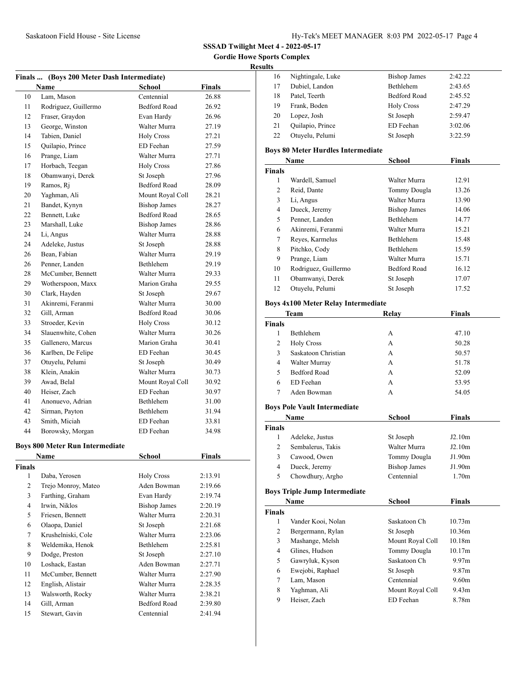**Gordie Howe Sports Complex**

### **Results**

|    | Finals  (Boys 200 Meter Dash Intermediate) |                     |        |
|----|--------------------------------------------|---------------------|--------|
|    | Name                                       | <b>School</b>       | Finals |
| 10 | Lam. Mason                                 | Centennial          | 26.88  |
| 11 | Rodriguez, Guillermo                       | <b>Bedford Road</b> | 26.92  |
| 12 | Fraser, Graydon                            | Evan Hardy          | 26.96  |
| 13 | George, Winston                            | Walter Murra        | 27.19  |
| 14 | Tabien, Daniel                             | <b>Holy Cross</b>   | 27.21  |
| 15 | Quilapio, Prince                           | ED Feehan           | 27.59  |
| 16 | Prange, Liam                               | Walter Murra        | 27.71  |
| 17 | Horbach, Teegan                            | <b>Holy Cross</b>   | 27.86  |
| 18 | Obamwanyi, Derek                           | St Joseph           | 27.96  |
| 19 | Ramos, Ri                                  | <b>Bedford Road</b> | 28.09  |
| 20 | Yaghman, Ali                               | Mount Royal Coll    | 28.21  |
| 21 | Bandet, Kynyn                              | <b>Bishop James</b> | 28.27  |
| 22 | Bennett, Luke                              | <b>Bedford Road</b> | 28.65  |
| 23 | Marshall, Luke                             | <b>Bishop James</b> | 28.86  |
| 24 | Li, Angus                                  | Walter Murra        | 28.88  |
| 24 | Adeleke, Justus                            | St Joseph           | 28.88  |
| 26 | Bean, Fabian                               | Walter Murra        | 29.19  |
| 26 | Penner, Landen                             | <b>Bethlehem</b>    | 29.19  |
| 28 | McCumber, Bennett                          | Walter Murra        | 29.33  |
| 29 | Wotherspoon, Maxx                          | Marion Graha        | 29.55  |
| 30 | Clark, Hayden                              | St Joseph           | 29.67  |
| 31 | Akinremi, Feranmi                          | Walter Murra        | 30.00  |
| 32 | Gill, Arman                                | <b>Bedford Road</b> | 30.06  |
| 33 | Stroeder, Kevin                            | <b>Holy Cross</b>   | 30.12  |
| 34 | Slauenwhite, Cohen                         | Walter Murra        | 30.26  |
| 35 | Gallenero, Marcus                          | Marion Graha        | 30.41  |
| 36 | Karlben, De Felipe                         | ED Feehan           | 30.45  |
| 37 | Otuyelu, Pelumi                            | St Joseph           | 30.49  |
| 38 | Klein, Anakin                              | Walter Murra        | 30.73  |
| 39 | Awad, Belal                                | Mount Royal Coll    | 30.92  |
| 40 | Heiser, Zach                               | ED Feehan           | 30.97  |
| 41 | Anonuevo, Adrian                           | <b>Bethlehem</b>    | 31.00  |
| 42 | Sirman, Payton                             | <b>Bethlehem</b>    | 31.94  |
| 43 | Smith, Miciah                              | ED Feehan           | 33.81  |
| 44 | Borowsky, Morgan                           | ED Feehan           | 34.98  |
|    |                                            |                     |        |

### **Boys 800 Meter Run Intermediate**

| Name          |                     | School              | <b>Finals</b> |  |
|---------------|---------------------|---------------------|---------------|--|
| <b>Finals</b> |                     |                     |               |  |
| 1             | Daba, Yerosen       | <b>Holy Cross</b>   | 2:13.91       |  |
| 2             | Trejo Monroy, Mateo | Aden Bowman         | 2:19.66       |  |
| 3             | Farthing, Graham    | Evan Hardy          | 2:19.74       |  |
| 4             | Irwin, Niklos       | <b>Bishop James</b> | 2:20.19       |  |
| 5             | Friesen, Bennett    | Walter Murra        | 2:20.31       |  |
| 6             | Olaopa, Daniel      | St Joseph           | 2:21.68       |  |
| 7             | Krushelniski, Cole  | Walter Murra        | 2:23.06       |  |
| 8             | Weldemika, Henok    | Bethlehem           | 2:25.81       |  |
| 9             | Dodge, Preston      | St Joseph           | 2:27.10       |  |
| 10            | Loshack, Eastan     | Aden Bowman         | 2:27.71       |  |
| 11            | McCumber, Bennett   | Walter Murra        | 2:27.90       |  |
| 12            | English, Alistair   | Walter Murra        | 2:28.35       |  |
| 13            | Walsworth, Rocky    | Walter Murra        | 2:38.21       |  |
| 14            | Gill, Arman         | Bedford Road        | 2:39.80       |  |
| 15            | Stewart, Gavin      | Centennial          | 2:41.94       |  |

| LS. |                   |                     |         |
|-----|-------------------|---------------------|---------|
| 16  | Nightingale, Luke | <b>Bishop James</b> | 2:42.22 |
| 17  | Dubiel, Landon    | Bethlehem           | 2:43.65 |
| 18  | Patel, Teerth     | Bedford Road        | 2:45.52 |
| 19  | Frank, Boden      | <b>Holy Cross</b>   | 2:47.29 |
| 20  | Lopez, Josh       | St Joseph           | 2:59.47 |
| 21  | Quilapio, Prince  | ED Feehan           | 3:02.06 |
| 22  | Otuyelu, Pelumi   | St Joseph           | 3:22.59 |

### **Boys 80 Meter Hurdles Intermediate**

|               | Name                 | <b>School</b>       | <b>Finals</b> |  |
|---------------|----------------------|---------------------|---------------|--|
| <b>Finals</b> |                      |                     |               |  |
| 1             | Wardell, Samuel      | Walter Murra        | 12.91         |  |
| 2             | Reid, Dante          | Tommy Dougla        | 13.26         |  |
| 3             | Li, Angus            | Walter Murra        | 13.90         |  |
| 4             | Dueck, Jeremy        | <b>Bishop James</b> | 14.06         |  |
| 5             | Penner, Landen       | <b>Bethlehem</b>    | 14.77         |  |
| 6             | Akinremi, Feranmi    | Walter Murra        | 15.21         |  |
| 7             | Reyes, Karmelus      | <b>Bethlehem</b>    | 15.48         |  |
| 8             | Pitchko, Cody        | <b>Bethlehem</b>    | 15.59         |  |
| 9             | Prange, Liam         | Walter Murra        | 15.71         |  |
| 10            | Rodriguez, Guillermo | <b>Bedford Road</b> | 16.12         |  |
| 11            | Obamwanyi, Derek     | St Joseph           | 17.07         |  |
| 12            | Otuyelu, Pelumi      | St Joseph           | 17.52         |  |

### **Boys 4x100 Meter Relay Intermediate**

|                | <b>Team</b>                          | Relay               | <b>Finals</b>     |
|----------------|--------------------------------------|---------------------|-------------------|
| <b>Finals</b>  |                                      |                     |                   |
| 1              | <b>Bethlehem</b>                     | A                   | 47.10             |
| 2              | <b>Holy Cross</b>                    | A                   | 50.28             |
| 3              | Saskatoon Christian                  | A                   | 50.57             |
| $\overline{4}$ | Walter Murray                        | A                   | 51.78             |
| 5              | <b>Bedford Road</b>                  | A                   | 52.09             |
| 6              | ED Feehan                            | A                   | 53.95             |
| 7              | Aden Bowman                          | A                   | 54.05             |
|                | <b>Boys Pole Vault Intermediate</b>  |                     |                   |
|                | Name                                 | School              | <b>Finals</b>     |
| <b>Finals</b>  |                                      |                     |                   |
| 1              | Adeleke, Justus                      | St Joseph           | J2.10m            |
| 2              | Sembalerus, Takis                    | Walter Murra        | J2.10m            |
| 3              | Cawood, Owen                         | Tommy Dougla        | J1.90m            |
| 4              | Dueck, Jeremy                        | <b>Bishop James</b> | J1.90m            |
| 5              | Chowdhury, Argho                     | Centennial          | 1.70 <sub>m</sub> |
|                | <b>Boys Triple Jump Intermediate</b> |                     |                   |
|                | Name                                 | <b>School</b>       | <b>Finals</b>     |
| <b>Finals</b>  |                                      |                     |                   |
| 1              | Vander Kooi, Nolan                   | Saskatoon Ch        | 10.73m            |
| 2              | Bergermann, Rylan                    | St Joseph           | 10.36m            |

|   | Mashange, Melsh  | Mount Royal Coll | 10.18m            |
|---|------------------|------------------|-------------------|
|   | Glines, Hudson   | Tommy Dougla     | 10.17m            |
|   | Gawryluk, Kyson  | Saskatoon Ch     | 9.97 <sub>m</sub> |
| 6 | Ewejobi, Raphael | St Joseph        | 9.87 <sub>m</sub> |
|   | Lam, Mason       | Centennial       | 9.60 <sub>m</sub> |
| 8 | Yaghman, Ali     | Mount Royal Coll | 9.43 <sub>m</sub> |
| 9 | Heiser, Zach     | ED Feehan        | 8.78m             |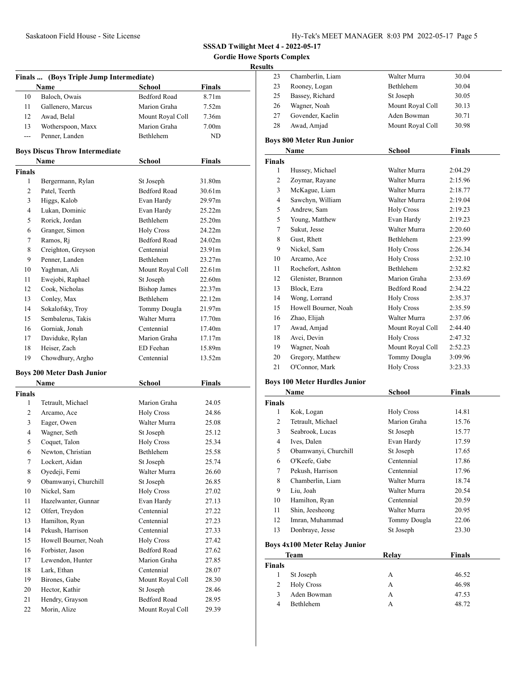**Gordie Howe Sports Complex**

# **Results**

| Finals  (Boys Triple Jump Intermediate) |                                       |                     |                    |  |
|-----------------------------------------|---------------------------------------|---------------------|--------------------|--|
|                                         | Name                                  | School              | <b>Finals</b>      |  |
| 10                                      | Baloch, Owais                         | <b>Bedford Road</b> | 8.71m              |  |
| 11                                      | Gallenero, Marcus                     | Marion Graha        | 7.52m              |  |
| 12                                      | Awad, Belal                           | Mount Royal Coll    | 7.36m              |  |
| 13                                      | Wotherspoon, Maxx                     | Marion Graha        | 7.00 <sub>m</sub>  |  |
| $---$                                   | Penner, Landen                        | Bethlehem           | ND                 |  |
|                                         | <b>Boys Discus Throw Intermediate</b> |                     |                    |  |
|                                         | Name                                  | <b>School</b>       | <b>Finals</b>      |  |
| <b>Finals</b>                           |                                       |                     |                    |  |
| 1                                       | Bergermann, Rylan                     | St Joseph           | 31.80m             |  |
| 2                                       | Patel, Teerth                         | <b>Bedford Road</b> | 30.61m             |  |
| 3                                       | Higgs, Kalob                          | Evan Hardy          | 29.97m             |  |
| 4                                       | Lukan, Dominic                        | Evan Hardy          | 25.22m             |  |
| 5                                       | Rorick, Jordan                        | Bethlehem           | 25.20m             |  |
| 6                                       | Granger, Simon                        | <b>Holy Cross</b>   | 24.22m             |  |
| 7                                       | Ramos, Rj                             | <b>Bedford Road</b> | 24.02m             |  |
| 8                                       | Creighton, Greyson                    | Centennial          | 23.91m             |  |
| 9                                       | Penner, Landen                        | <b>Bethlehem</b>    | 23.27m             |  |
| 10                                      | Yaghman, Ali                          | Mount Royal Coll    | 22.61m             |  |
| 11                                      | Ewejobi, Raphael                      | St Joseph           | 22.60m             |  |
| 12                                      | Cook, Nicholas                        | <b>Bishop James</b> | 22.37m             |  |
| 13                                      | Conley, Max                           | Bethlehem           | 22.12m             |  |
| 14                                      | Sokalofsky, Troy                      | Tommy Dougla        | 21.97m             |  |
| 15                                      | Sembalerus, Takis                     | Walter Murra        | 17.70m             |  |
| 16                                      | Gorniak, Jonah                        | Centennial          | 17.40m             |  |
| 17                                      | Daviduke, Rylan                       | Marion Graha        | 17.17 <sub>m</sub> |  |
| 18                                      | Heiser, Zach                          | ED Feehan           | 15.89m             |  |
| 19                                      | Chowdhury, Argho                      | Centennial          | 13.52m             |  |
|                                         | <b>Boys 200 Meter Dash Junior</b>     |                     |                    |  |
|                                         | Name                                  | <b>School</b>       | <b>Finals</b>      |  |
| <b>Finals</b>                           |                                       |                     |                    |  |
| 1                                       | Tetrault, Michael                     | Marion Graha        | 24.05              |  |
| 2                                       | Arcamo, Ace                           | <b>Holy Cross</b>   | 24.86              |  |
| 3                                       | Eager, Owen                           | Walter Murra        | 25.08              |  |
| $\overline{4}$                          | Wagner, Seth                          | St Joseph           | 25.12              |  |
| 5                                       | Coquet, Talon                         | <b>Holy Cross</b>   | 25.34              |  |
| 6                                       | Newton, Christian                     | Bethlehem           | 25.58              |  |
| 7                                       | Lockert, Aidan                        | St Joseph           | 25.74              |  |
| 8                                       | Oyedeji, Femi                         | Walter Murra        | 26.60              |  |
| 9                                       | Obamwanyi, Churchill                  | St Joseph           | 26.85              |  |
| 10                                      | Nickel, Sam                           | <b>Holy Cross</b>   | 27.02              |  |
| 11                                      | Hazelwanter, Gunnar                   | Evan Hardy          | 27.13              |  |
| 12                                      | Olfert, Treydon                       | Centennial          | 27.22              |  |
| 13                                      | Hamilton, Ryan                        | Centennial          | 27.23              |  |
| 14                                      | Pekush, Harrison                      | Centennial          | 27.33              |  |
| 15                                      | Howell Bourner, Noah                  | <b>Holy Cross</b>   | 27.42              |  |
| 16                                      | Forbister, Jason                      | Bedford Road        | 27.62              |  |
| 17                                      | Lewendon, Hunter                      | Marion Graha        | 27.85              |  |
| 18                                      | Lark, Ethan                           | Centennial          | 28.07              |  |
| 19                                      | Birones, Gabe                         | Mount Royal Coll    | 28.30              |  |
| 20                                      | Hector, Kathir                        | St Joseph           | 28.46              |  |
| 21                                      | Hendry, Grayson                       | <b>Bedford Road</b> | 28.95              |  |
| 22                                      | Morin, Alize                          | Mount Royal Coll    | 29.39              |  |

| 23                                   | Chamberlin, Liam                 | Walter Murra        | 30.04   |  |
|--------------------------------------|----------------------------------|---------------------|---------|--|
| 23                                   | Rooney, Logan                    | Bethlehem           | 30.04   |  |
| 25                                   | Bassey, Richard                  | St Joseph           | 30.05   |  |
| 26                                   | Wagner, Noah                     | Mount Royal Coll    | 30.13   |  |
| 27                                   | Govender, Kaelin                 | Aden Bowman         | 30.71   |  |
| 28                                   | Awad, Amjad                      | Mount Royal Coll    | 30.98   |  |
|                                      | <b>Boys 800 Meter Run Junior</b> |                     |         |  |
|                                      | Name                             | School              | Finals  |  |
| <b>Finals</b>                        |                                  |                     |         |  |
| 1                                    | Hussey, Michael                  | Walter Murra        | 2:04.29 |  |
| $\overline{c}$                       | Zoymar, Rayane                   | Walter Murra        | 2:15.96 |  |
| 3                                    | McKague, Liam                    | Walter Murra        | 2:18.77 |  |
| 4                                    | Sawchyn, William                 | Walter Murra        | 2:19.04 |  |
| 5                                    | Andrew, Sam                      | <b>Holy Cross</b>   | 2:19.23 |  |
| 5                                    | Young, Matthew                   | Evan Hardy          | 2:19.23 |  |
| $\overline{7}$                       | Sukut, Jesse                     | Walter Murra        | 2:20.60 |  |
| 8                                    | Gust, Rhett                      | Bethlehem           | 2:23.99 |  |
| 9                                    | Nickel, Sam                      | <b>Holy Cross</b>   | 2:26.34 |  |
| 10                                   | Arcamo, Ace                      | <b>Holy Cross</b>   | 2:32.10 |  |
| 11                                   | Rochefort, Ashton                | <b>Bethlehem</b>    | 2:32.82 |  |
| 12                                   | Glenister, Brannon               | Marion Graha        | 2:33.69 |  |
| 13                                   | Block, Ezra                      | <b>Bedford Road</b> | 2:34.22 |  |
| 14                                   | Wong, Lorrand                    | <b>Holy Cross</b>   | 2:35.37 |  |
| 15                                   | Howell Bourner, Noah             | <b>Holy Cross</b>   | 2:35.59 |  |
| 16                                   | Zhao, Elijah                     | Walter Murra        | 2:37.06 |  |
| 17                                   | Awad, Amjad                      | Mount Royal Coll    | 2:44.40 |  |
| 18                                   | Avci, Devin                      | <b>Holy Cross</b>   | 2:47.32 |  |
| 19                                   | Wagner, Noah                     | Mount Royal Coll    | 2:52.23 |  |
| 20                                   | Gregory, Matthew                 | Tommy Dougla        | 3:09.96 |  |
| 21                                   | O'Connor, Mark                   | <b>Holy Cross</b>   | 3:23.33 |  |
| <b>Boys 100 Meter Hurdles Junior</b> |                                  |                     |         |  |

# **Boys 100 Meter Hurdles Junior**

| Name          |                      | School            | <b>Finals</b> |  |
|---------------|----------------------|-------------------|---------------|--|
| <b>Finals</b> |                      |                   |               |  |
| 1             | Kok, Logan           | <b>Holy Cross</b> | 14.81         |  |
| 2             | Tetrault, Michael    | Marion Graha      | 15.76         |  |
| 3             | Seabrook, Lucas      | St Joseph         | 15.77         |  |
| 4             | Ives, Dalen          | Evan Hardy        | 17.59         |  |
| 5             | Obamwanyi, Churchill | St Joseph         | 17.65         |  |
| 6             | O'Keefe, Gabe        | Centennial        | 17.86         |  |
| 7             | Pekush, Harrison     | Centennial        | 17.96         |  |
| 8             | Chamberlin, Liam     | Walter Murra      | 18.74         |  |
| 9             | Liu, Joah            | Walter Murra      | 20.54         |  |
| 10            | Hamilton, Ryan       | Centennial        | 20.59         |  |
| 11            | Shin, Jeesheong      | Walter Murra      | 20.95         |  |
| 12            | Imran, Muhammad      | Tommy Dougla      | 22.06         |  |
| 13            | Donbraye, Jesse      | St Joseph         | 23.30         |  |

# **Boys 4x100 Meter Relay Junior**

|               | Team              | Relay | <b>Finals</b> |  |
|---------------|-------------------|-------|---------------|--|
| <b>Finals</b> |                   |       |               |  |
|               | St Joseph         | А     | 46.52         |  |
| 2             | <b>Holy Cross</b> | А     | 46.98         |  |
| $\mathcal{R}$ | Aden Bowman       | А     | 47.53         |  |
| 4             | <b>Bethlehem</b>  | А     | 48.72         |  |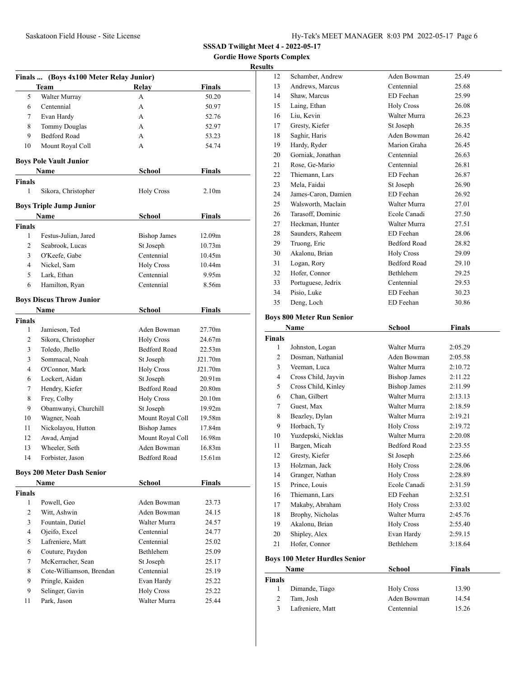**Gordie Howe Sports Complex**

### **Results**

|                | Finals  (Boys 4x100 Meter Relay Junior) |                     |                   |  |
|----------------|-----------------------------------------|---------------------|-------------------|--|
|                | Team                                    | Relay               | <b>Finals</b>     |  |
| 5              | Walter Murray                           | A                   | 50.20             |  |
| 6              | Centennial                              | A                   | 50.97             |  |
| 7              | Evan Hardy                              | A                   | 52.76             |  |
| 8              | <b>Tommy Douglas</b>                    | A                   | 52.97             |  |
| 9              | <b>Bedford Road</b>                     | А                   | 53.23             |  |
| 10             | Mount Royal Coll                        | А                   | 54.74             |  |
|                | <b>Boys Pole Vault Junior</b>           |                     |                   |  |
|                | Name                                    | <b>School</b>       | <b>Finals</b>     |  |
| Finals         |                                         |                     |                   |  |
| 1              | Sikora, Christopher                     | <b>Holy Cross</b>   | 2.10 <sub>m</sub> |  |
|                | Boys Triple Jump Junior                 |                     |                   |  |
|                | Name                                    | <b>School</b>       | <b>Finals</b>     |  |
| Finals         |                                         |                     |                   |  |
| 1              | Festus-Julian, Jared                    | <b>Bishop James</b> | 12.09m            |  |
| 2              | Seabrook, Lucas                         | St Joseph           | 10.73m            |  |
| 3              | O'Keefe, Gabe                           | Centennial          | 10.45m            |  |
| $\overline{4}$ | Nickel, Sam                             | <b>Holy Cross</b>   | 10.44m            |  |
| 5              | Lark, Ethan                             | Centennial          | 9.95m             |  |
| 6              | Hamilton, Ryan                          | Centennial          | 8.56m             |  |
|                |                                         |                     |                   |  |
|                | <b>Boys Discus Throw Junior</b>         |                     |                   |  |
|                | Name                                    | <b>School</b>       | <b>Finals</b>     |  |
| Finals         |                                         |                     |                   |  |
| 1              | Jamieson, Ted                           | Aden Bowman         | 27.70m            |  |
| $\mathbf{2}$   | Sikora, Christopher                     | <b>Holy Cross</b>   | 24.67m            |  |
| 3              | Toledo, Jhello                          | <b>Bedford Road</b> | 22.53m            |  |
| 3              | Sommacal, Noah                          | St Joseph           | J21.70m           |  |
| $\overline{4}$ | O'Connor, Mark                          | <b>Holy Cross</b>   | J21.70m           |  |
| 6              | Lockert, Aidan                          | St Joseph           | 20.91m            |  |
| 7              | Hendry, Kiefer                          | Bedford Road        | 20.80m            |  |
| 8              | Frey, Colby                             | <b>Holy Cross</b>   | 20.10m            |  |
| 9              | Obamwanyi, Churchill                    | St Joseph           | 19.92m            |  |
| 10             | Wagner, Noah                            | Mount Royal Coll    | 19.58m            |  |
| 11             | Nickolayou, Hutton                      | <b>Bishop James</b> | 17.84m            |  |
| 12             | Awad, Amjad                             | Mount Royal Coll    | 16.98m            |  |
| 13             | Wheeler, Seth                           | Aden Bowman         | 16.83m            |  |
| 14             | Forbister, Jason                        | Bedford Road        | 15.61m            |  |
|                | <b>Boys 200 Meter Dash Senior</b>       |                     |                   |  |
|                | Name                                    | School              | Finals            |  |
| Finals         |                                         |                     |                   |  |
| $\mathbf{1}$   | Powell, Geo                             | Aden Bowman         | 23.73             |  |
| $\overline{c}$ | Witt, Ashwin                            | Aden Bowman         | 24.15             |  |
| 3              | Fountain, Datiel                        | Walter Murra        | 24.57             |  |
| $\overline{4}$ | Ojeifo, Excel                           | Centennial          | 24.77             |  |
| 5              | Lafreniere, Matt                        | Centennial          | 25.02             |  |
| 6              | Couture, Paydon                         | Bethlehem           | 25.09             |  |
| 7              | McKerracher, Sean                       | St Joseph           | 25.17             |  |
| 8              | Cote-Williamson, Brendan                | Centennial          | 25.19             |  |
| 9              | Pringle, Kaiden                         | Evan Hardy          | 25.22             |  |
| 9              | Selinger, Gavin                         | <b>Holy Cross</b>   | 25.22             |  |
| 11             | Park, Jason                             | Walter Murra        | 25.44             |  |
|                |                                         |                     |                   |  |
|                |                                         |                     |                   |  |

| 12 | Schamber, Andrew    | Aden Bowman         | 25.49 |
|----|---------------------|---------------------|-------|
| 13 | Andrews, Marcus     | Centennial          | 25.68 |
| 14 | Shaw, Marcus        | ED Feehan           | 25.99 |
| 15 | Laing, Ethan        | <b>Holy Cross</b>   | 26.08 |
| 16 | Liu, Kevin          | Walter Murra        | 26.23 |
| 17 | Gresty, Kiefer      | St Joseph           | 26.35 |
| 18 | Saghir, Haris       | Aden Bowman         | 26.42 |
| 19 | Hardy, Ryder        | Marion Graha        | 26.45 |
| 20 | Gorniak, Jonathan   | Centennial          | 26.63 |
| 21 | Rose, Ge-Mario      | Centennial          | 26.81 |
| 22 | Thiemann, Lars      | ED Feehan           | 26.87 |
| 23 | Mela, Faidai        | St Joseph           | 26.90 |
| 24 | James-Caron, Damien | ED Feehan           | 26.92 |
| 25 | Walsworth, Maclain  | Walter Murra        | 27.01 |
| 26 | Tarasoff, Dominic   | Ecole Canadi        | 27.50 |
| 27 | Heckman, Hunter     | Walter Murra        | 27.51 |
| 28 | Saunders, Raheem    | ED Feehan           | 28.06 |
| 29 | Truong, Eric        | <b>Bedford Road</b> | 28.82 |
| 30 | Akalonu, Brian      | <b>Holy Cross</b>   | 29.09 |
| 31 | Logan, Rory         | <b>Bedford Road</b> | 29.10 |
| 32 | Hofer, Connor       | Bethlehem           | 29.25 |
| 33 | Portuguese, Jedrix  | Centennial          | 29.53 |
| 34 | Pisio, Luke         | ED Feehan           | 30.23 |
| 35 | Deng, Loch          | ED Feehan           | 30.86 |
|    |                     |                     |       |

# **Boys 800 Meter Run Senior**

| Name           |                                      | <b>School</b>       | <b>Finals</b> |
|----------------|--------------------------------------|---------------------|---------------|
| <b>Finals</b>  |                                      |                     |               |
| 1              | Johnston, Logan                      | Walter Murra        | 2:05.29       |
| $\overline{c}$ | Dosman, Nathanial                    | Aden Bowman         | 2:05.58       |
| 3              | Veeman, Luca                         | Walter Murra        | 2:10.72       |
| 4              | Cross Child, Jayvin                  | <b>Bishop James</b> | 2:11.22       |
| 5              | Cross Child, Kinley                  | <b>Bishop James</b> | 2:11.99       |
| 6              | Chan, Gilbert                        | Walter Murra        | 2:13.13       |
| 7              | Guest, Max                           | Walter Murra        | 2:18.59       |
| 8              | Beazley, Dylan                       | Walter Murra        | 2:19.21       |
| 9              | Horbach, Ty                          | <b>Holy Cross</b>   | 2:19.72       |
| 10             | Yuzdepski, Nicklas                   | Walter Murra        | 2:20.08       |
| 11             | Bargen, Micah                        | <b>Bedford Road</b> | 2:23.55       |
| 12             | Gresty, Kiefer                       | St Joseph           | 2:25.66       |
| 13             | Holzman, Jack                        | <b>Holy Cross</b>   | 2:28.06       |
| 14             | Granger, Nathan                      | <b>Holy Cross</b>   | 2:28.89       |
| 15             | Prince, Louis                        | Ecole Canadi        | 2:31.59       |
| 16             | Thiemann, Lars                       | ED Feehan           | 2:32.51       |
| 17             | Makaby, Abraham                      | <b>Holy Cross</b>   | 2:33.02       |
| 18             | Brophy, Nicholas                     | Walter Murra        | 2:45.76       |
| 19             | Akalonu, Brian                       | <b>Holy Cross</b>   | 2:55.40       |
| 20             | Shipley, Alex                        | Evan Hardy          | 2:59.15       |
| 21             | Hofer, Connor                        | <b>Bethlehem</b>    | 3:18.64       |
|                | <b>Boys 100 Meter Hurdles Senior</b> |                     |               |
|                | Name                                 | School              | <b>Finals</b> |

| Name          |                  | School            | Finals |  |
|---------------|------------------|-------------------|--------|--|
| <b>Finals</b> |                  |                   |        |  |
|               | Dimande, Tiago   | <b>Holy Cross</b> | 13.90  |  |
| 2             | Tam, Josh        | Aden Bowman       | 14.54  |  |
| 3             | Lafreniere, Matt | Centennial        | 15.26  |  |